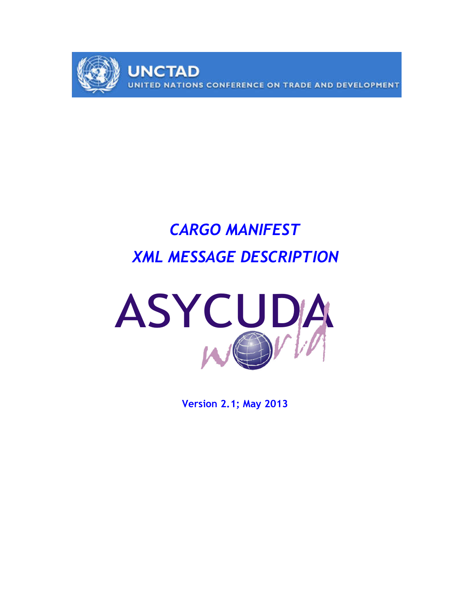

# CARGO MANIFEST XML MESSAGE DESCRIPTION



Version 2.1; May 2013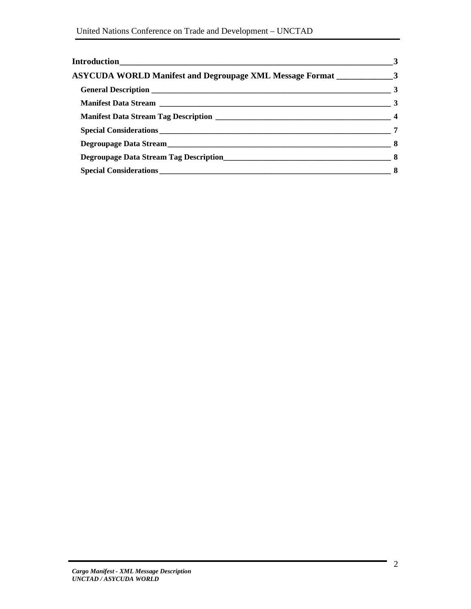|                                                                           | $\sim$ 3 |
|---------------------------------------------------------------------------|----------|
| ASYCUDA WORLD Manifest and Degroupage XML Message Format _______________3 |          |
|                                                                           |          |
|                                                                           |          |
|                                                                           |          |
|                                                                           |          |
|                                                                           |          |
|                                                                           |          |
|                                                                           |          |
|                                                                           |          |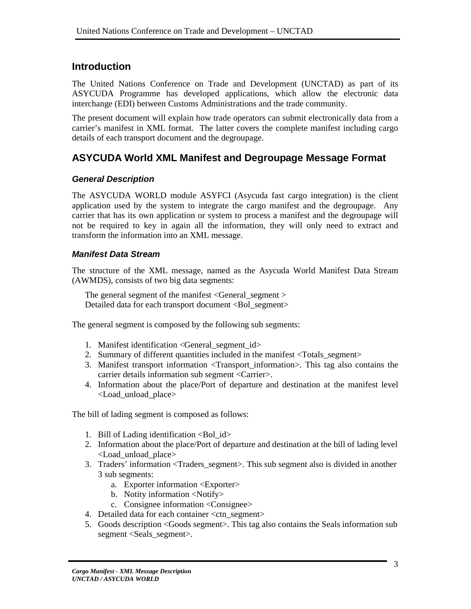# **Introduction**

The United Nations Conference on Trade and Development (UNCTAD) as part of its ASYCUDA Programme has developed applications, which allow the electronic data interchange (EDI) between Customs Administrations and the trade community.

The present document will explain how trade operators can submit electronically data from a carrier's manifest in XML format. The latter covers the complete manifest including cargo details of each transport document and the degroupage.

# **ASYCUDA World XML Manifest and Degroupage Message Format**

## **General Description**

The ASYCUDA WORLD module ASYFCI (Asycuda fast cargo integration) is the client application used by the system to integrate the cargo manifest and the degroupage. Any carrier that has its own application or system to process a manifest and the degroupage will not be required to key in again all the information, they will only need to extract and transform the information into an XML message.

## **Manifest Data Stream**

The structure of the XML message, named as the Asycuda World Manifest Data Stream (AWMDS), consists of two big data segments:

The general segment of the manifest <General\_segment > Detailed data for each transport document <Bol\_segment>

The general segment is composed by the following sub segments:

- 1. Manifest identification <General\_segment\_id>
- 2. Summary of different quantities included in the manifest <Totals\_segment>
- 3. Manifest transport information <Transport\_information>. This tag also contains the carrier details information sub segment <Carrier>.
- 4. Information about the place/Port of departure and destination at the manifest level <Load\_unload\_place>

The bill of lading segment is composed as follows:

- 1. Bill of Lading identification  $\langle$ Bol\_id $\rangle$
- 2. Information about the place/Port of departure and destination at the bill of lading level <Load\_unload\_place>
- 3. Traders' information <Traders\_segment>. This sub segment also is divided in another 3 sub segments:
	- a. Exporter information <Exporter>
	- b. Notity information <Notify>
	- c. Consignee information <Consignee>
- 4. Detailed data for each container <ctn\_segment>
- 5. Goods description <Goods segment>. This tag also contains the Seals information sub segment <Seals\_segment>.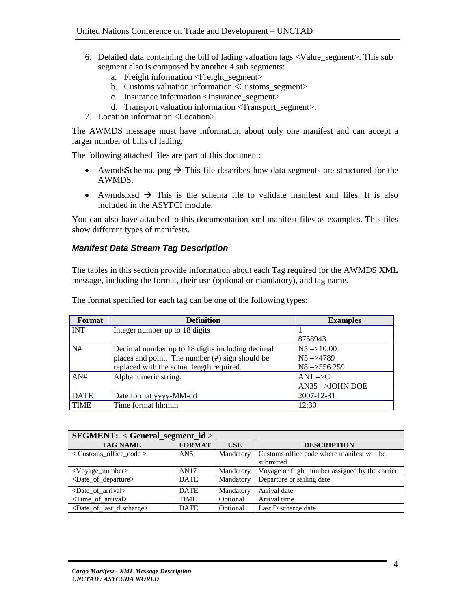- 6. Detailed data containing the bill of lading valuation tags <Value\_segment>. This sub segment also is composed by another 4 sub segments:
	- a. Freight information <Freight segment>
	- b. Customs valuation information <Customs\_segment>
	- c. Insurance information <Insurance\_segment>
	- d. Transport valuation information <Transport\_segment>.
- 7. Location information <Location>.

The AWMDS message must have information about only one manifest and can accept a larger number of bills of lading.

The following attached files are part of this document:

- AwmdsSchema. png  $\rightarrow$  This file describes how data segments are structured for the AWMDS.
- Awmds.xsd  $\rightarrow$  This is the schema file to validate manifest xml files. It is also included in the ASYFCI module.

You can also have attached to this documentation xml manifest files as examples. This files show different types of manifests.

#### **Manifest Data Stream Tag Description**

The tables in this section provide information about each Tag required for the AWMDS XML message, including the format, their use (optional or mandatory), and tag name.

| Format      | <b>Definition</b>                                  | <b>Examples</b>          |
|-------------|----------------------------------------------------|--------------------------|
| <b>INT</b>  | Integer number up to 18 digits                     |                          |
|             |                                                    | 8758943                  |
| N#          | Decimal number up to 18 digits including decimal   | $N5 = > 10.00$           |
|             | places and point. The number $(\#)$ sign should be | $N5 = > 4789$            |
|             | replaced with the actual length required.          | $N8 = > 556.259$         |
| AN#         | Alphanumeric string.                               | $AN1 \equiv C$           |
|             |                                                    | $AN35 \implies JOHN DOE$ |
| <b>DATE</b> | Date format yyyy-MM-dd                             | 2007-12-31               |
| <b>TIME</b> | Time format hh:mm                                  | 12:30                    |

The format specified for each tag can be one of the following types:

| $SEGMENT: < General$ segment id >                 |               |            |                                                 |  |  |
|---------------------------------------------------|---------------|------------|-------------------------------------------------|--|--|
| <b>TAG NAME</b>                                   | <b>FORMAT</b> | <b>USE</b> | <b>DESCRIPTION</b>                              |  |  |
| $\langle$ Customs office code $\rangle$           | AN5           | Mandatory  | Customs office code where manifest will be      |  |  |
|                                                   |               |            | submitted                                       |  |  |
| <voyage_number></voyage_number>                   | AN17          | Mandatory  | Voyage or flight number assigned by the carrier |  |  |
| <date_of_departure></date_of_departure>           | <b>DATE</b>   | Mandatory  | Departure or sailing date                       |  |  |
| $\langle$ Date of arrival $>$                     | <b>DATE</b>   | Mandatory  | Arrival date                                    |  |  |
| $\le$ Time of arrival $>$                         | <b>TIME</b>   | Optional   | Arrival time                                    |  |  |
| <date_of_last_discharge></date_of_last_discharge> | <b>DATE</b>   | Optional   | Last Discharge date                             |  |  |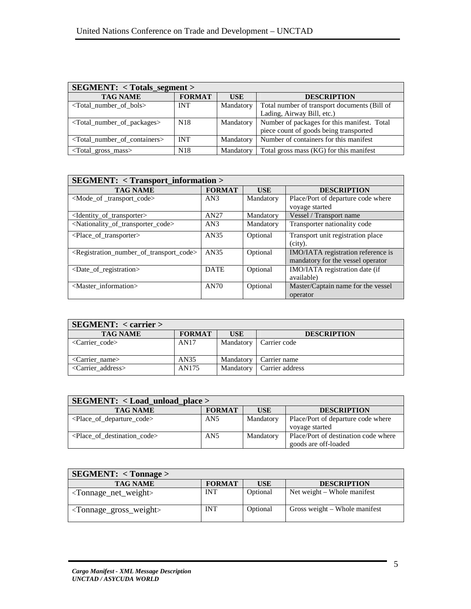| <b>SEGMENT:</b> < Totals_segment >                    |                 |            |                                              |  |  |
|-------------------------------------------------------|-----------------|------------|----------------------------------------------|--|--|
| <b>TAG NAME</b>                                       | <b>FORMAT</b>   | <b>USE</b> | <b>DESCRIPTION</b>                           |  |  |
| $\le$ Total number of bols $>$                        | <b>INT</b>      | Mandatory  | Total number of transport documents (Bill of |  |  |
|                                                       |                 |            | Lading, Airway Bill, etc.)                   |  |  |
| <total_number_of_packages></total_number_of_packages> | N <sub>18</sub> | Mandatory  | Number of packages for this manifest. Total  |  |  |
|                                                       |                 |            | piece count of goods being transported       |  |  |
| <total containers="" number="" of=""></total>         | <b>INT</b>      | Mandatory  | Number of containers for this manifest       |  |  |
| <total_gross_mass></total_gross_mass>                 | N <sub>18</sub> | Mandatory  | Total gross mass (KG) for this manifest      |  |  |

| <b>SEGMENT: &lt; Transport_information &gt;</b>                                 |               |            |                                                                         |  |  |
|---------------------------------------------------------------------------------|---------------|------------|-------------------------------------------------------------------------|--|--|
| <b>TAG NAME</b>                                                                 | <b>FORMAT</b> | <b>USE</b> | <b>DESCRIPTION</b>                                                      |  |  |
| <mode_of_transport_code></mode_of_transport_code>                               | AN3           | Mandatory  | Place/Port of departure code where<br>voyage started                    |  |  |
| <identity of="" transporter=""></identity>                                      | AN27          | Mandatory  | Vessel / Transport name                                                 |  |  |
| <nationality_of_transporter_code></nationality_of_transporter_code>             | AN3           | Mandatory  | Transporter nationality code                                            |  |  |
| $\leq$ Place of transporter $>$                                                 | AN35          | Optional   | Transport unit registration place<br>$(city)$ .                         |  |  |
| <registration_number_of_transport_code></registration_number_of_transport_code> | AN35          | Optional   | IMO/IATA registration reference is<br>mandatory for the vessel operator |  |  |
| <date_of_registration></date_of_registration>                                   | <b>DATE</b>   | Optional   | IMO/IATA registration date (if<br>available)                            |  |  |
| <master_information></master_information>                                       | AN70          | Optional   | Master/Captain name for the vessel<br>operator                          |  |  |

| SEGMENT: < carrier               |               |            |                    |
|----------------------------------|---------------|------------|--------------------|
| <b>TAG NAME</b>                  | <b>FORMAT</b> | <b>USE</b> | <b>DESCRIPTION</b> |
| $\langle$ Carrier code>          | AN17          | Mandatory  | Carrier code       |
| $\langle$ Carrier name $\rangle$ | AN35          | Mandatory  | Carrier name       |
| <carrier address=""></carrier>   | AN175         | Mandatory  | Carrier address    |

| $SEGMENT: <$ Load_unload_place >        |                 |           |                                                              |  |  |
|-----------------------------------------|-----------------|-----------|--------------------------------------------------------------|--|--|
| <b>TAG NAME</b>                         | <b>FORMAT</b>   | USE       | <b>DESCRIPTION</b>                                           |  |  |
| $\leq$ Place of departure code $>$      | AN <sub>5</sub> | Mandatory | Place/Port of departure code where<br>voyage started         |  |  |
| $\leq$ Place of destination code $\geq$ | AN5             | Mandatory | Place/Port of destination code where<br>goods are off-loaded |  |  |

| SEGMENT: < Tompage>                           |               |          |                               |
|-----------------------------------------------|---------------|----------|-------------------------------|
| <b>TAG NAME</b>                               | <b>FORMAT</b> | USE      | <b>DESCRIPTION</b>            |
| $\langle$ Tonnage_net_weight $\rangle$        | <b>INT</b>    | Optional | Net weight – Whole manifest   |
| <tonnage_gross_weight></tonnage_gross_weight> | <b>INT</b>    | Optional | Gross weight – Whole manifest |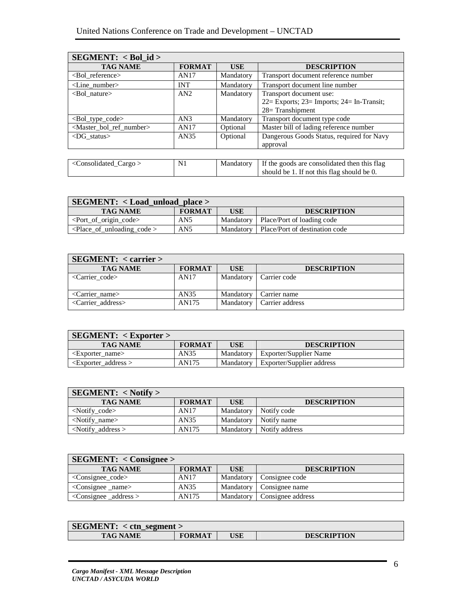| $SEGMENT: < Bol_id>$                            |               |            |                                              |
|-------------------------------------------------|---------------|------------|----------------------------------------------|
| <b>TAG NAME</b>                                 | <b>FORMAT</b> | <b>USE</b> | <b>DESCRIPTION</b>                           |
| <bol_reference></bol_reference>                 | AN17          | Mandatory  | Transport document reference number          |
| $\langle$ Line number $\rangle$                 | <b>INT</b>    | Mandatory  | Transport document line number               |
| $<$ Bol nature $>$                              | AN2           | Mandatory  | Transport document use:                      |
|                                                 |               |            | 22= Exports; 23= Imports; 24= In-Transit;    |
|                                                 |               |            | $28 =$ Transhipment                          |
| $\leq$ Bol type code $>$                        | AN3           | Mandatory  | Transport document type code                 |
| <master_bol_ref_number></master_bol_ref_number> | AN17          | Optional   | Master bill of lading reference number       |
| $<$ DG status $>$                               | AN35          | Optional   | Dangerous Goods Status, required for Navy    |
|                                                 |               |            | approval                                     |
|                                                 |               |            |                                              |
| <consolidated_cargo></consolidated_cargo>       | N1            | Mandatory  | If the goods are consolidated then this flag |
|                                                 |               |            | should be 1. If not this flag should be 0.   |

| $\text{SEGMENT: } <$ Load_unload_place >           |                 |           |                                |  |  |
|----------------------------------------------------|-----------------|-----------|--------------------------------|--|--|
| <b>TAG NAME</b>                                    | <b>FORMAT</b>   | USE       | <b>DESCRIPTION</b>             |  |  |
| $\leq$ Port of origin code $>$                     | AN <sub>5</sub> | Mandatory | Place/Port of loading code     |  |  |
| $\vert$ <place code="" of="" unloading=""></place> | AN <sub>5</sub> | Mandatory | Place/Port of destination code |  |  |

| <b>SEGMENT:</b> < carrier >/ |               |            |                    |
|------------------------------|---------------|------------|--------------------|
| <b>TAG NAME</b>              | <b>FORMAT</b> | <b>USE</b> | <b>DESCRIPTION</b> |
| $\alpha$ < Carrier code >    | AN17          | Mandatory  | Carrier code       |
| $\alpha$ < Carrier name      | AN35          | Mandatory  | Carrier name       |
| $\leq$ Carrier address $>$   | AN175         | Mandatory  | Carrier address    |

| $SEGMENT: <$ $\leq$ Exporter $>$ |               |           |                               |  |  |
|----------------------------------|---------------|-----------|-------------------------------|--|--|
| <b>TAG NAME</b>                  | <b>FORMAT</b> | USE       | <b>DESCRIPTION</b>            |  |  |
| <exporter name=""></exporter>    | AN35          | Mandatory | <b>Exporter/Supplier Name</b> |  |  |
| $\leq$ Exporter address $>$      | AN175         | Mandatory | Exporter/Supplier address     |  |  |

| SEGMENT: < Notify >             |               |            |                    |
|---------------------------------|---------------|------------|--------------------|
| <b>TAG NAME</b>                 | <b>FORMAT</b> | <b>USE</b> | <b>DESCRIPTION</b> |
| <notify_code></notify_code>     | AN17          | Mandatory  | Notify code        |
| $\langle$ Notify_name $\rangle$ | AN35          | Mandatory  | Notify name        |
| $\langle$ Notify_address $>$    | AN175         | Mandatory  | Notify address     |

| $SEGMENT: <$ Consignee >      |               |            |                               |  |
|-------------------------------|---------------|------------|-------------------------------|--|
| <b>TAG NAME</b>               | <b>FORMAT</b> | <b>USE</b> | <b>DESCRIPTION</b>            |  |
| $\leq$ Consignee code>        | AN17          |            | Mandatory   Consignee code    |  |
| $\leq$ Consignee name>        | AN35          |            | Mandatory   Consignee name    |  |
| $\leq$ Consignee _address $>$ | AN175         |            | Mandatory   Consignee address |  |

| $\text{SEGMENT:} < \text{ctn\_segment} >$ |               |     |                    |  |
|-------------------------------------------|---------------|-----|--------------------|--|
| <b>TAG NAME</b>                           | <b>FORMAT</b> | USE | <b>DESCRIPTION</b> |  |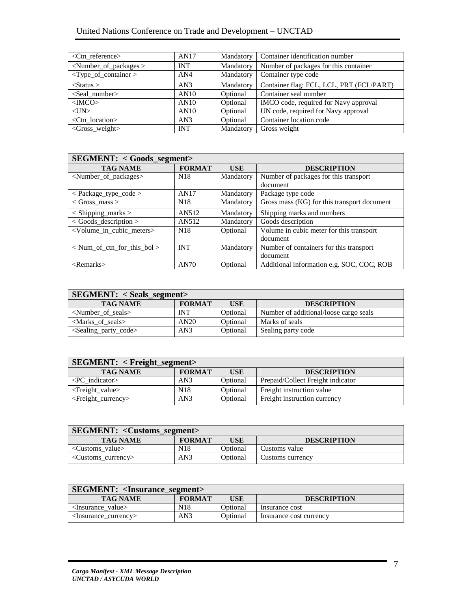| $\langle$ Ctn reference $\rangle$ | AN17       | Mandatory | Container identification number          |
|-----------------------------------|------------|-----------|------------------------------------------|
| $\le$ Number_of_packages $>$      | <b>INT</b> | Mandatory | Number of packages for this container    |
| $<$ Type_of_container >           | AN4        | Mandatory | Container type code                      |
| $\langle$ Status $\rangle$        | AN3        | Mandatory | Container flag: FCL, LCL, PRT (FCL/PART) |
| $<$ Seal number $>$               | AN10       | Optional  | Container seal number                    |
| $<$ IMCO $>$                      | AN10       | Optional  | IMCO code, required for Navy approval    |
| $<$ UN $>$                        | AN10       | Optional  | UN code, required for Navy approval      |
| $\langle$ Ctn location $\rangle$  | AN3        | Optional  | Container location code                  |
| <gross_weight></gross_weight>     | <b>INT</b> | Mandatory | Gross weight                             |

| <b>SEGMENT: &lt; Goods_segment&gt;</b>     |                 |            |                                             |  |
|--------------------------------------------|-----------------|------------|---------------------------------------------|--|
| <b>TAG NAME</b>                            | <b>FORMAT</b>   | <b>USE</b> | <b>DESCRIPTION</b>                          |  |
| <number_of_packages></number_of_packages>  | N <sub>18</sub> | Mandatory  | Number of packages for this transport       |  |
|                                            |                 |            | document                                    |  |
| $\langle$ Package_type_code $\rangle$      | AN17            | Mandatory  | Package type code                           |  |
| $\langle$ Gross mass $\rangle$             | N <sub>18</sub> | Mandatory  | Gross mass (KG) for this transport document |  |
| $<$ Shipping_marks $>$                     | AN512           | Mandatory  | Shipping marks and numbers                  |  |
| $\langle$ Goods_description $\rangle$      | AN512           | Mandatory  | Goods description                           |  |
| <volume cubic="" in="" meters=""></volume> | N <sub>18</sub> | Optional   | Volume in cubic meter for this transport    |  |
|                                            |                 |            | document                                    |  |
| $\langle$ Num of ctn for this bol $>$      | <b>INT</b>      | Mandatory  | Number of containers for this transport     |  |
|                                            |                 |            | document                                    |  |
| $<$ Remarks $>$                            | AN70            | Optional   | Additional information e.g. SOC, COC, ROB   |  |

| $SEGMENT: < Seals\_segment > 0$           |               |            |                                        |  |
|-------------------------------------------|---------------|------------|----------------------------------------|--|
| <b>TAG NAME</b>                           | <b>FORMAT</b> | <b>USE</b> | <b>DESCRIPTION</b>                     |  |
| $\le$ Number of seals $>$                 | <b>INT</b>    | Optional   | Number of additional/loose cargo seals |  |
| $\langle$ Marks of seals $>$              | AN20          | Optional   | Marks of seals                         |  |
| <sealing_party_code></sealing_party_code> | AN3           | Optional   | Sealing party code                     |  |

| $SEGMENT: < Freight\_segment >$ |               |            |                                   |  |
|---------------------------------|---------------|------------|-----------------------------------|--|
| <b>TAG NAME</b>                 | <b>FORMAT</b> | <b>USE</b> | <b>DESCRIPTION</b>                |  |
| $\langle PC \rangle$ indicator  | AN3           | Optional   | Prepaid/Collect Freight indicator |  |
| $\leq$ Freight_value>           | N18           | Optional   | Freight instruction value         |  |
| $\leq$ Freight_currency>        | AN3           | Optional   | Freight instruction currency      |  |

| <b>SEGMENT: <customs_segment>/</customs_segment></b> |                 |            |                    |  |
|------------------------------------------------------|-----------------|------------|--------------------|--|
| <b>TAG NAME</b>                                      | <b>FORMAT</b>   | <b>USE</b> | <b>DESCRIPTION</b> |  |
| $\langle$ Customs value $\rangle$                    | N <sub>18</sub> | Optional   | Customs value      |  |
| <customs_currency></customs_currency>                | AN3             | Optional   | Customs currency   |  |

| <b>SEGMENT:</b> <insurance_segment></insurance_segment> |                 |          |                         |  |
|---------------------------------------------------------|-----------------|----------|-------------------------|--|
| <b>TAG NAME</b>                                         | <b>FORMAT</b>   | USE      | <b>DESCRIPTION</b>      |  |
| <insurance_value></insurance_value>                     | N <sub>18</sub> | Optional | Insurance cost          |  |
| $\langle$ Insurance currency $\rangle$                  | AN3             | Optional | Insurance cost currency |  |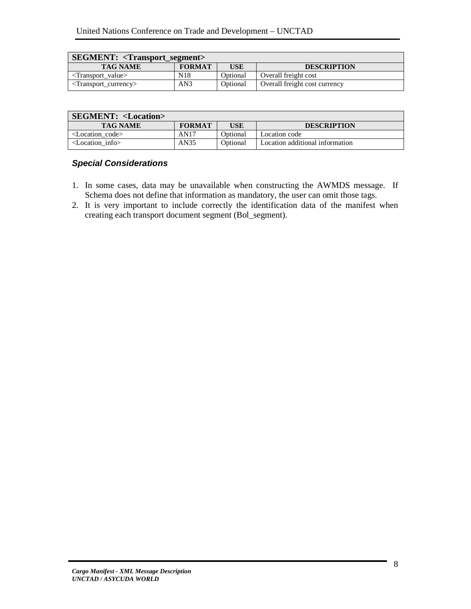| <b>SEGMENT:</b> <transport_segment></transport_segment> |                 |          |                               |  |
|---------------------------------------------------------|-----------------|----------|-------------------------------|--|
| <b>TAG NAME</b>                                         | <b>FORMAT</b>   | USE      | <b>DESCRIPTION</b>            |  |
| $\langle$ Transport value $\rangle$                     | N <sub>18</sub> | Optional | Overall freight cost          |  |
| $\langle$ Transport currency $\rangle$                  | AN3             | Optional | Overall freight cost currency |  |

| <b>SEGMENT: <location></location></b> |               |          |                                 |
|---------------------------------------|---------------|----------|---------------------------------|
| <b>TAG NAME</b>                       | <b>FORMAT</b> | USE      | <b>DESCRIPTION</b>              |
| <location code=""></location>         | AN17          | Optional | Location code                   |
| $\epsilon$ Location info $\epsilon$   | AN35          | Optional | Location additional information |

# **Special Considerations**

- 1. In some cases, data may be unavailable when constructing the AWMDS message. If Schema does not define that information as mandatory, the user can omit those tags.
- 2. It is very important to include correctly the identification data of the manifest when creating each transport document segment (Bol\_segment).